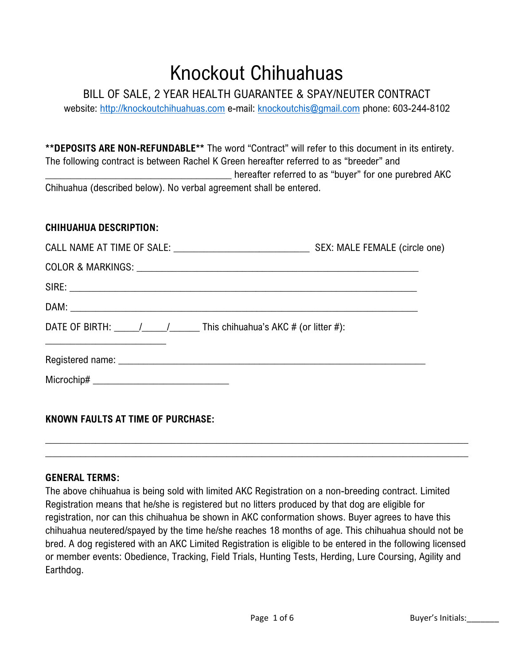# Knockout Chihuahuas

BILL OF SALE, 2 YEAR HEALTH GUARANTEE & SPAY/NEUTER CONTRACT

website: [http://knockoutchihuahuas.com](http://knockoutchihuahuas.com/) e-mail: [knockoutchis@gmail.com](mailto:knockoutchis@gmail.com) phone: 603-244-8102

**\*\*DEPOSITS ARE NON-REFUNDABLE\*\*** The word "Contract" will refer to this document in its entirety. The following contract is between Rachel K Green hereafter referred to as "breeder" and \_\_\_\_\_\_\_\_\_\_\_\_\_\_\_\_\_\_\_\_\_\_\_\_\_\_\_\_\_\_\_\_\_\_\_\_\_ hereafter referred to as "buyer" for one purebred AKC Chihuahua (described below). No verbal agreement shall be entered.

#### **CHIHUAHUA DESCRIPTION:**

| DATE OF BIRTH: $\frac{1}{\sqrt{1-\frac{1}{1-\frac{1}{1-\frac{1}{1-\frac{1}{1-\frac{1}{1-\frac{1}{1-\frac{1}{1-\frac{1}{1-\frac{1}{1-\frac{1}{1-\frac{1}{1-\frac{1}{1-\frac{1}{1-\frac{1}{1-\frac{1}{1-\frac{1}{1-\frac{1}{1-\frac{1}{1-\frac{1}{1-\frac{1}{1-\frac{1}{1-\frac{1}{1-\frac{1}{1-\frac{1}{1-\frac{1}{1-\frac{1}{1-\frac{1}{1-\frac{1}{1-\frac{1}{1-\frac{1}{1-\frac{1}{1-\frac{1}{1-\frac{1$<br><u> 1989 - Johann John Stein, markin fan it ferstjer fan de ferstjer fan it ferstjer fan de ferstjer fan it fers</u> |  |
|-----------------------------------------------------------------------------------------------------------------------------------------------------------------------------------------------------------------------------------------------------------------------------------------------------------------------------------------------------------------------------------------------------------------------------------------------------------------------------------------------------------------------------------|--|
| Registered name: <u>example and a series of the series of the series of the series of the series of the series of the series of the series of the series of the series of the series of the series of the series of the series o</u>                                                                                                                                                                                                                                                                                              |  |
| Microchip# ________________________________                                                                                                                                                                                                                                                                                                                                                                                                                                                                                       |  |
|                                                                                                                                                                                                                                                                                                                                                                                                                                                                                                                                   |  |

**KNOWN FAULTS AT TIME OF PURCHASE:**

#### **GENERAL TERMS:**

The above chihuahua is being sold with limited AKC Registration on a non-breeding contract. Limited Registration means that he/she is registered but no litters produced by that dog are eligible for registration, nor can this chihuahua be shown in AKC conformation shows. Buyer agrees to have this chihuahua neutered/spayed by the time he/she reaches 18 months of age. This chihuahua should not be bred. A dog registered with an AKC Limited Registration is eligible to be entered in the following licensed or member events: Obedience, Tracking, Field Trials, Hunting Tests, Herding, Lure Coursing, Agility and Earthdog.

 $\_$  , and the set of the set of the set of the set of the set of the set of the set of the set of the set of the set of the set of the set of the set of the set of the set of the set of the set of the set of the set of th  $\_$  , and the set of the set of the set of the set of the set of the set of the set of the set of the set of the set of the set of the set of the set of the set of the set of the set of the set of the set of the set of th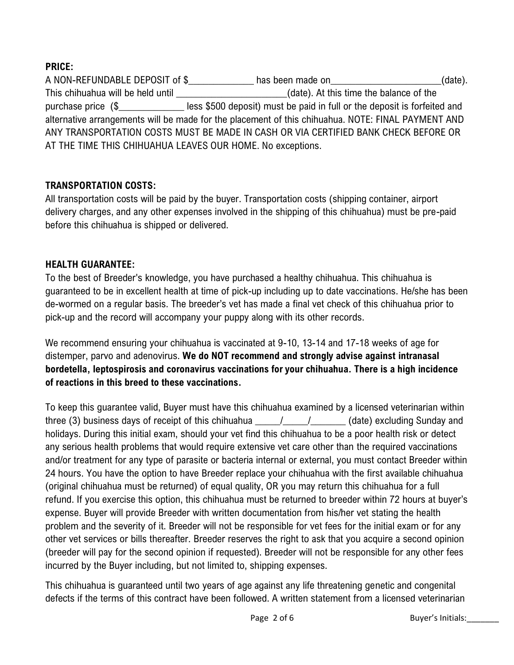# **PRICE:**

A NON-REFUNDABLE DEPOSIT of \$\_\_\_\_\_\_\_\_\_\_\_\_\_\_\_ has been made on\_\_\_\_\_\_\_\_\_\_\_\_\_\_\_\_\_\_\_\_(date). This chihuahua will be held until **This chihuahua** will be held until and the state of the state). At this time the balance of the purchase price (\$\_\_\_\_\_\_\_\_\_\_\_\_\_\_\_less \$500 deposit) must be paid in full or the deposit is forfeited and alternative arrangements will be made for the placement of this chihuahua. NOTE: FINAL PAYMENT AND ANY TRANSPORTATION COSTS MUST BE MADE IN CASH OR VIA CERTIFIED BANK CHECK BEFORE OR AT THE TIME THIS CHIHUAHUA LEAVES OUR HOME. No exceptions.

## **TRANSPORTATION COSTS:**

All transportation costs will be paid by the buyer. Transportation costs (shipping container, airport delivery charges, and any other expenses involved in the shipping of this chihuahua) must be pre-paid before this chihuahua is shipped or delivered.

## **HEALTH GUARANTEE:**

To the best of Breeder's knowledge, you have purchased a healthy chihuahua. This chihuahua is guaranteed to be in excellent health at time of pick-up including up to date vaccinations. He/she has been de-wormed on a regular basis. The breeder's vet has made a final vet check of this chihuahua prior to pick-up and the record will accompany your puppy along with its other records.

We recommend ensuring your chihuahua is vaccinated at 9-10, 13-14 and 17-18 weeks of age for distemper, parvo and adenovirus. **We do NOT recommend and strongly advise against intranasal bordetella, leptospirosis and coronavirus vaccinations for your chihuahua. There is a high incidence of reactions in this breed to these vaccinations.**

To keep this guarantee valid, Buyer must have this chihuahua examined by a licensed veterinarian within three (3) business days of receipt of this chihuahua  $\frac{1}{\sqrt{1-\frac{1}{\sqrt{1-\frac{1}{\sqrt{1-\frac{1}{\sqrt{1-\frac{1}{\sqrt{1-\frac{1}{\sqrt{1-\frac{1}{\sqrt{1-\frac{1}{\sqrt{1-\frac{1}{\sqrt{1-\frac{1}{\sqrt{1-\frac{1}{\sqrt{1-\frac{1}{\sqrt{1-\frac{1}{\sqrt{1-\frac{1}{\sqrt{1-\frac{1}{\sqrt{1-\frac{1}{\sqrt{1-\frac{1}{\sqrt{1-\frac{1}{\sqrt{1-\frac{1}{$ holidays. During this initial exam, should your vet find this chihuahua to be a poor health risk or detect any serious health problems that would require extensive vet care other than the required vaccinations and/or treatment for any type of parasite or bacteria internal or external, you must contact Breeder within 24 hours. You have the option to have Breeder replace your chihuahua with the first available chihuahua (original chihuahua must be returned) of equal quality, OR you may return this chihuahua for a full refund. If you exercise this option, this chihuahua must be returned to breeder within 72 hours at buyer's expense. Buyer will provide Breeder with written documentation from his/her vet stating the health problem and the severity of it. Breeder will not be responsible for vet fees for the initial exam or for any other vet services or bills thereafter. Breeder reserves the right to ask that you acquire a second opinion (breeder will pay for the second opinion if requested). Breeder will not be responsible for any other fees incurred by the Buyer including, but not limited to, shipping expenses.

This chihuahua is guaranteed until two years of age against any life threatening genetic and congenital defects if the terms of this contract have been followed. A written statement from a licensed veterinarian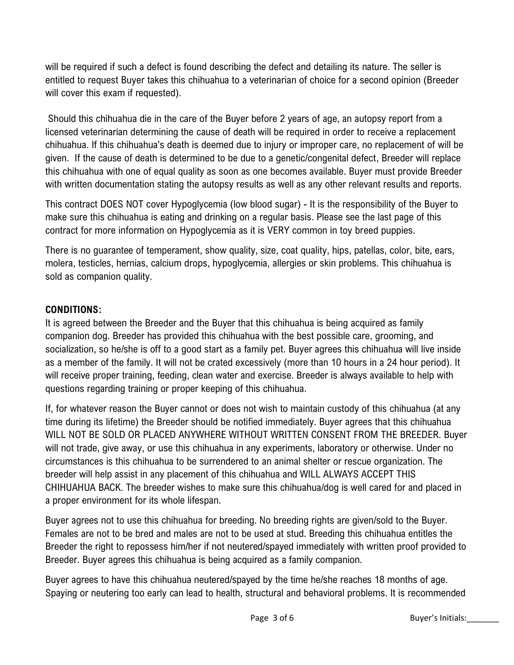will be required if such a defect is found describing the defect and detailing its nature. The seller is entitled to request Buyer takes this chihuahua to a veterinarian of choice for a second opinion (Breeder will cover this exam if requested).

Should this chihuahua die in the care of the Buyer before 2 years of age, an autopsy report from a licensed veterinarian determining the cause of death will be required in order to receive a replacement chihuahua. If this chihuahua's death is deemed due to injury or improper care, no replacement of will be given. If the cause of death is determined to be due to a genetic/congenital defect, Breeder will replace this chihuahua with one of equal quality as soon as one becomes available. Buyer must provide Breeder with written documentation stating the autopsy results as well as any other relevant results and reports.

This contract DOES NOT cover Hypoglycemia (low blood sugar) - It is the responsibility of the Buyer to make sure this chihuahua is eating and drinking on a regular basis. Please see the last page of this contract for more information on Hypoglycemia as it is VERY common in toy breed puppies.

There is no guarantee of temperament, show quality, size, coat quality, hips, patellas, color, bite, ears, molera, testicles, hernias, calcium drops, hypoglycemia, allergies or skin problems. This chihuahua is sold as companion quality.

## **CONDITIONS:**

It is agreed between the Breeder and the Buyer that this chihuahua is being acquired as family companion dog. Breeder has provided this chihuahua with the best possible care, grooming, and socialization, so he/she is off to a good start as a family pet. Buyer agrees this chihuahua will live inside as a member of the family. It will not be crated excessively (more than 10 hours in a 24 hour period). It will receive proper training, feeding, clean water and exercise. Breeder is always available to help with questions regarding training or proper keeping of this chihuahua.

If, for whatever reason the Buyer cannot or does not wish to maintain custody of this chihuahua (at any time during its lifetime) the Breeder should be notified immediately. Buyer agrees that this chihuahua WILL NOT BE SOLD OR PLACED ANYWHERE WITHOUT WRITTEN CONSENT FROM THE BREEDER. Buyer will not trade, give away, or use this chihuahua in any experiments, laboratory or otherwise. Under no circumstances is this chihuahua to be surrendered to an animal shelter or rescue organization. The breeder will help assist in any placement of this chihuahua and WILL ALWAYS ACCEPT THIS CHIHUAHUA BACK. The breeder wishes to make sure this chihuahua/dog is well cared for and placed in a proper environment for its whole lifespan.

Buyer agrees not to use this chihuahua for breeding. No breeding rights are given/sold to the Buyer. Females are not to be bred and males are not to be used at stud. Breeding this chihuahua entitles the Breeder the right to repossess him/her if not neutered/spayed immediately with written proof provided to Breeder. Buyer agrees this chihuahua is being acquired as a family companion.

Buyer agrees to have this chihuahua neutered/spayed by the time he/she reaches 18 months of age. Spaying or neutering too early can lead to health, structural and behavioral problems. It is recommended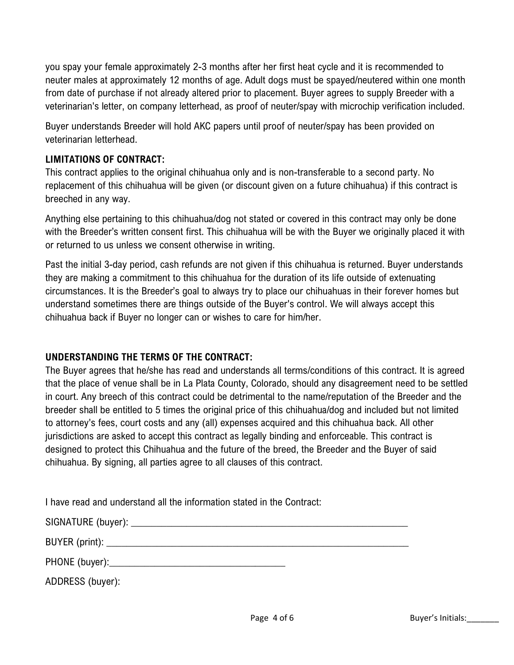you spay your female approximately 2-3 months after her first heat cycle and it is recommended to neuter males at approximately 12 months of age. Adult dogs must be spayed/neutered within one month from date of purchase if not already altered prior to placement. Buyer agrees to supply Breeder with a veterinarian's letter, on company letterhead, as proof of neuter/spay with microchip verification included.

Buyer understands Breeder will hold AKC papers until proof of neuter/spay has been provided on veterinarian letterhead.

## **LIMITATIONS OF CONTRACT:**

This contract applies to the original chihuahua only and is non-transferable to a second party. No replacement of this chihuahua will be given (or discount given on a future chihuahua) if this contract is breeched in any way.

Anything else pertaining to this chihuahua/dog not stated or covered in this contract may only be done with the Breeder's written consent first. This chihuahua will be with the Buyer we originally placed it with or returned to us unless we consent otherwise in writing.

Past the initial 3-day period, cash refunds are not given if this chihuahua is returned. Buyer understands they are making a commitment to this chihuahua for the duration of its life outside of extenuating circumstances. It is the Breeder's goal to always try to place our chihuahuas in their forever homes but understand sometimes there are things outside of the Buyer's control. We will always accept this chihuahua back if Buyer no longer can or wishes to care for him/her.

#### **UNDERSTANDING THE TERMS OF THE CONTRACT:**

The Buyer agrees that he/she has read and understands all terms/conditions of this contract. It is agreed that the place of venue shall be in La Plata County, Colorado, should any disagreement need to be settled in court. Any breech of this contract could be detrimental to the name/reputation of the Breeder and the breeder shall be entitled to 5 times the original price of this chihuahua/dog and included but not limited to attorney's fees, court costs and any (all) expenses acquired and this chihuahua back. All other jurisdictions are asked to accept this contract as legally binding and enforceable. This contract is designed to protect this Chihuahua and the future of the breed, the Breeder and the Buyer of said chihuahua. By signing, all parties agree to all clauses of this contract.

| I have read and understand all the information stated in the Contract: |  |
|------------------------------------------------------------------------|--|
|------------------------------------------------------------------------|--|

BUYER (print):  $\blacksquare$ 

| PHONE (buyer): |  |
|----------------|--|
|----------------|--|

ADDRESS (buyer):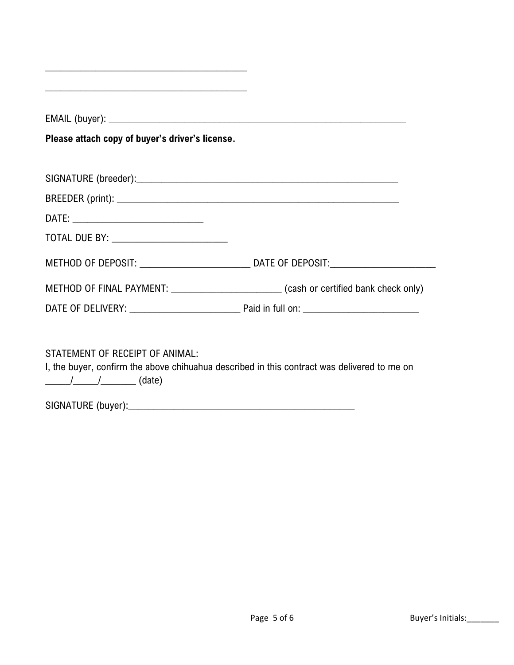| Please attach copy of buyer's driver's license. |  |
|-------------------------------------------------|--|
|                                                 |  |
|                                                 |  |
|                                                 |  |
|                                                 |  |
|                                                 |  |
|                                                 |  |
|                                                 |  |

SIGNATURE (buyer):\_\_\_\_\_\_\_\_\_\_\_\_\_\_\_\_\_\_\_\_\_\_\_\_\_\_\_\_\_\_\_\_\_\_\_\_\_\_\_\_\_\_\_\_\_